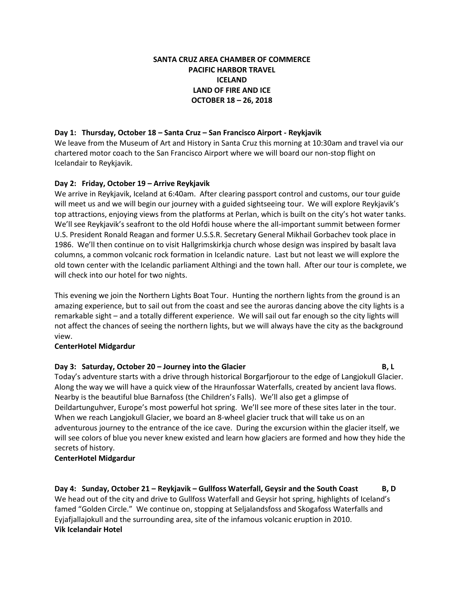## **SANTA CRUZ AREA CHAMBER OF COMMERCE PACIFIC HARBOR TRAVEL ICELAND LAND OF FIRE AND ICE OCTOBER 18 – 26, 2018**

#### **Day 1: Thursday, October 18 – Santa Cruz – San Francisco Airport - Reykjavik**

We leave from the Museum of Art and History in Santa Cruz this morning at 10:30am and travel via our chartered motor coach to the San Francisco Airport where we will board our non-stop flight on Icelandair to Reykjavik.

### **Day 2: Friday, October 19 – Arrive Reykjavik**

We arrive in Reykjavik, Iceland at 6:40am. After clearing passport control and customs, our tour guide will meet us and we will begin our journey with a guided sightseeing tour. We will explore Reykjavik's top attractions, enjoying views from the platforms at Perlan, which is built on the city's hot water tanks. We'll see Reykjavik's seafront to the old Hofdi house where the all-important summit between former U.S. President Ronald Reagan and former U.S.S.R. Secretary General Mikhail Gorbachev took place in 1986. We'll then continue on to visit Hallgrimskirkja church whose design was inspired by basalt lava columns, a common volcanic rock formation in Icelandic nature. Last but not least we will explore the old town center with the Icelandic parliament Althingi and the town hall. After our tour is complete, we will check into our hotel for two nights.

This evening we join the Northern Lights Boat Tour. Hunting the northern lights from the ground is an amazing experience, but to sail out from the coast and see the auroras dancing above the city lights is a remarkable sight – and a totally different experience. We will sail out far enough so the city lights will not affect the chances of seeing the northern lights, but we will always have the city as the background view.

#### **CenterHotel Midgardur**

#### **Day 3: Saturday, October 20 – Journey into the Glacier B, L**

Today's adventure starts with a drive through historical Borgarfjorour to the edge of Langjokull Glacier. Along the way we will have a quick view of the Hraunfossar Waterfalls, created by ancient lava flows. Nearby is the beautiful blue Barnafoss (the Children's Falls). We'll also get a glimpse of Deildartunguhver, Europe's most powerful hot spring. We'll see more of these sites later in the tour. When we reach Langjokull Glacier, we board an 8-wheel glacier truck that will take us on an adventurous journey to the entrance of the ice cave. During the excursion within the glacier itself, we will see colors of blue you never knew existed and learn how glaciers are formed and how they hide the secrets of history.

#### **CenterHotel Midgardur**

**Day 4: Sunday, October 21 – Reykjavik – Gullfoss Waterfall, Geysir and the South Coast B, D** We head out of the city and drive to Gullfoss Waterfall and Geysir hot spring, highlights of Iceland's famed "Golden Circle." We continue on, stopping at Seljalandsfoss and Skogafoss Waterfalls and Eyjafjallajokull and the surrounding area, site of the infamous volcanic eruption in 2010. **Vik Icelandair Hotel**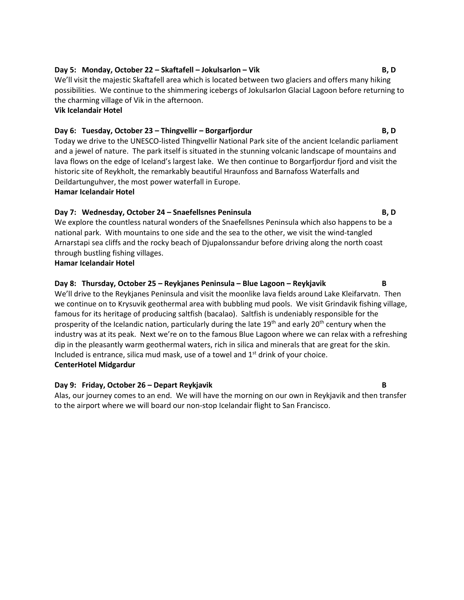## **Day 5: Monday, October 22 – Skaftafell – Jokulsarlon – Vik B, D**

We'll visit the majestic Skaftafell area which is located between two glaciers and offers many hiking possibilities. We continue to the shimmering icebergs of Jokulsarlon Glacial Lagoon before returning to the charming village of Vik in the afternoon. **Vik Icelandair Hotel**

# **Day 6: Tuesday, October 23 – Thingvellir – Borgarfjordur B, D**

Today we drive to the UNESCO-listed Thingvellir National Park site of the ancient Icelandic parliament and a jewel of nature. The park itself is situated in the stunning volcanic landscape of mountains and lava flows on the edge of Iceland's largest lake. We then continue to Borgarfjordur fjord and visit the historic site of Reykholt, the remarkably beautiful Hraunfoss and Barnafoss Waterfalls and Deildartunguhver, the most power waterfall in Europe.

**Hamar Icelandair Hotel**

### **Day 7: Wednesday, October 24 – Snaefellsnes Peninsula B, D**

We explore the countless natural wonders of the Snaefellsnes Peninsula which also happens to be a national park. With mountains to one side and the sea to the other, we visit the wind-tangled Arnarstapi sea cliffs and the rocky beach of Djupalonssandur before driving along the north coast through bustling fishing villages.

#### **Hamar Icelandair Hotel**

### **Day 8: Thursday, October 25 – Reykjanes Peninsula – Blue Lagoon – Reykjavik B**

We'll drive to the Reykjanes Peninsula and visit the moonlike lava fields around Lake Kleifarvatn. Then we continue on to Krysuvik geothermal area with bubbling mud pools. We visit Grindavik fishing village, famous for its heritage of producing saltfish (bacalao). Saltfish is undeniably responsible for the prosperity of the Icelandic nation, particularly during the late  $19<sup>th</sup>$  and early  $20<sup>th</sup>$  century when the industry was at its peak. Next we're on to the famous Blue Lagoon where we can relax with a refreshing dip in the pleasantly warm geothermal waters, rich in silica and minerals that are great for the skin. Included is entrance, silica mud mask, use of a towel and  $1<sup>st</sup>$  drink of your choice. **CenterHotel Midgardur**

#### **Day 9: Friday, October 26 – Depart Reykjavik B**

Alas, our journey comes to an end. We will have the morning on our own in Reykjavik and then transfer to the airport where we will board our non-stop Icelandair flight to San Francisco.